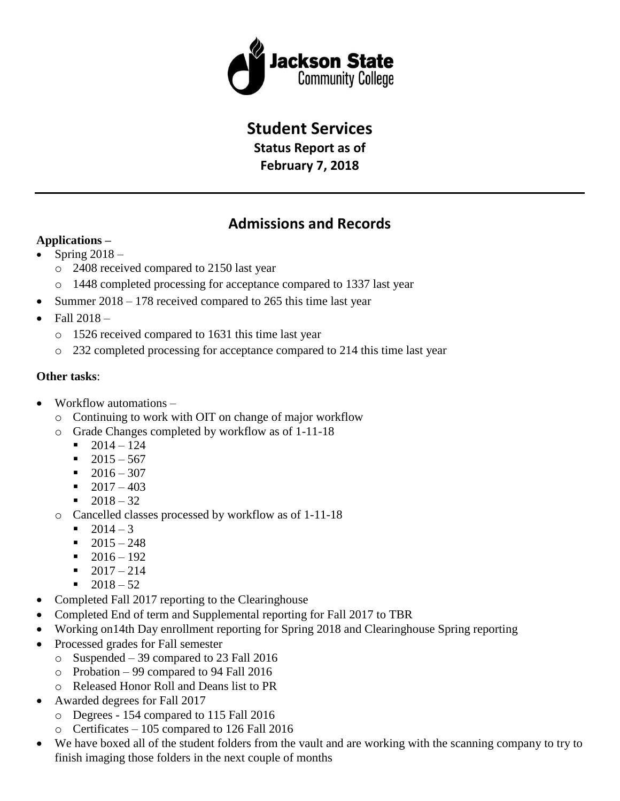

## **Student Services**

**Status Report as of February 7, 2018**

# **Admissions and Records**

### **Applications –**

- Spring  $2018$ 
	- o 2408 received compared to 2150 last year
	- o 1448 completed processing for acceptance compared to 1337 last year
- Summer 2018 178 received compared to 265 this time last year
- $\bullet$  Fall 2018
	- o 1526 received compared to 1631 this time last year
	- o 232 completed processing for acceptance compared to 214 this time last year

### **Other tasks**:

- Workflow automations
	- o Continuing to work with OIT on change of major workflow
	- o Grade Changes completed by workflow as of 1-11-18
		- $-2014 124$
		- $-2015 567$
		- $-2016 307$
		- $-2017 403$
		- $-2018 32$
	- o Cancelled classes processed by workflow as of 1-11-18
		- $-2014 3$
		- $-2015 248$
		- $-2016 192$
		- $-2017 214$
		- $-2018 52$
- Completed Fall 2017 reporting to the Clearinghouse
- Completed End of term and Supplemental reporting for Fall 2017 to TBR
- Working on14th Day enrollment reporting for Spring 2018 and Clearinghouse Spring reporting
- Processed grades for Fall semester
	- o Suspended 39 compared to 23 Fall 2016
	- o Probation 99 compared to 94 Fall 2016
	- o Released Honor Roll and Deans list to PR
- Awarded degrees for Fall 2017
	- o Degrees 154 compared to 115 Fall 2016
	- o Certificates 105 compared to 126 Fall 2016
- We have boxed all of the student folders from the vault and are working with the scanning company to try to finish imaging those folders in the next couple of months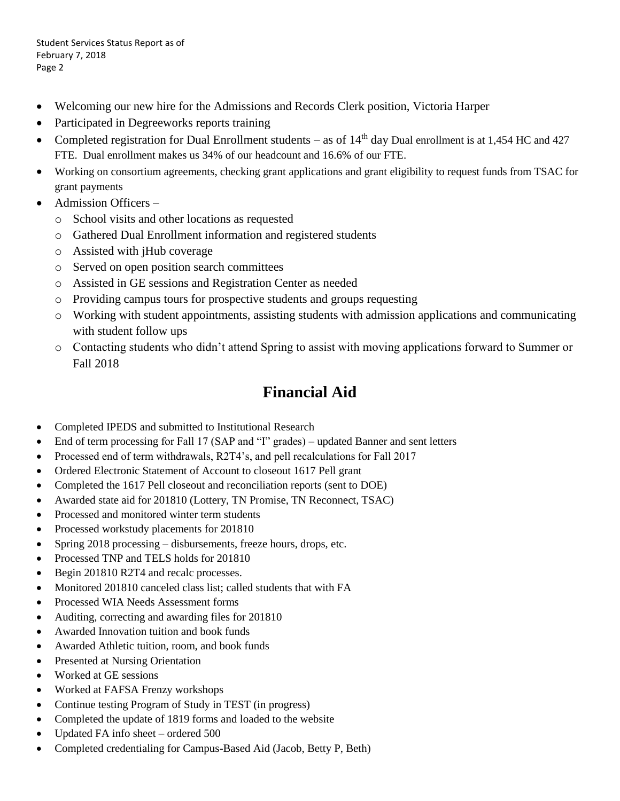- Welcoming our new hire for the Admissions and Records Clerk position, Victoria Harper
- Participated in Degreeworks reports training
- Completed registration for Dual Enrollment students as of 14<sup>th</sup> day Dual enrollment is at 1,454 HC and 427 FTE. Dual enrollment makes us 34% of our headcount and 16.6% of our FTE.
- Working on consortium agreements, checking grant applications and grant eligibility to request funds from TSAC for grant payments
- Admission Officers
	- o School visits and other locations as requested
	- o Gathered Dual Enrollment information and registered students
	- o Assisted with jHub coverage
	- o Served on open position search committees
	- o Assisted in GE sessions and Registration Center as needed
	- o Providing campus tours for prospective students and groups requesting
	- o Working with student appointments, assisting students with admission applications and communicating with student follow ups
	- o Contacting students who didn't attend Spring to assist with moving applications forward to Summer or Fall 2018

## **Financial Aid**

- Completed IPEDS and submitted to Institutional Research
- End of term processing for Fall 17 (SAP and "I" grades) updated Banner and sent letters
- Processed end of term withdrawals, R2T4's, and pell recalculations for Fall 2017
- Ordered Electronic Statement of Account to closeout 1617 Pell grant
- Completed the 1617 Pell closeout and reconciliation reports (sent to DOE)
- Awarded state aid for 201810 (Lottery, TN Promise, TN Reconnect, TSAC)
- Processed and monitored winter term students
- Processed workstudy placements for 201810
- Spring 2018 processing disbursements, freeze hours, drops, etc.
- Processed TNP and TELS holds for 201810
- Begin 201810 R2T4 and recalc processes.
- Monitored 201810 canceled class list; called students that with FA
- Processed WIA Needs Assessment forms
- Auditing, correcting and awarding files for 201810
- Awarded Innovation tuition and book funds
- Awarded Athletic tuition, room, and book funds
- Presented at Nursing Orientation
- Worked at GE sessions
- Worked at FAFSA Frenzy workshops
- Continue testing Program of Study in TEST (in progress)
- Completed the update of 1819 forms and loaded to the website
- Updated FA info sheet ordered 500
- Completed credentialing for Campus-Based Aid (Jacob, Betty P, Beth)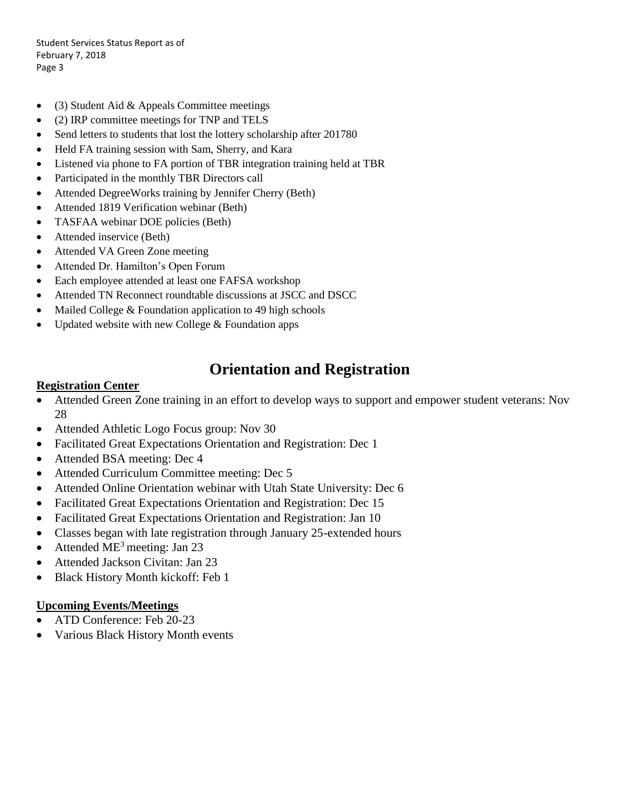- (3) Student Aid & Appeals Committee meetings
- (2) IRP committee meetings for TNP and TELS
- Send letters to students that lost the lottery scholarship after 201780
- Held FA training session with Sam, Sherry, and Kara
- Listened via phone to FA portion of TBR integration training held at TBR
- Participated in the monthly TBR Directors call
- Attended DegreeWorks training by Jennifer Cherry (Beth)
- Attended 1819 Verification webinar (Beth)
- TASFAA webinar DOE policies (Beth)
- Attended inservice (Beth)
- Attended VA Green Zone meeting
- Attended Dr. Hamilton's Open Forum
- Each employee attended at least one FAFSA workshop
- Attended TN Reconnect roundtable discussions at JSCC and DSCC
- Mailed College & Foundation application to 49 high schools
- Updated website with new College  $&$  Foundation apps

## **Orientation and Registration**

#### **Registration Center**

- Attended Green Zone training in an effort to develop ways to support and empower student veterans: Nov 28
- Attended Athletic Logo Focus group: Nov 30
- Facilitated Great Expectations Orientation and Registration: Dec 1
- Attended BSA meeting: Dec 4
- Attended Curriculum Committee meeting: Dec 5
- Attended Online Orientation webinar with Utah State University: Dec 6
- Facilitated Great Expectations Orientation and Registration: Dec 15
- Facilitated Great Expectations Orientation and Registration: Jan 10
- Classes began with late registration through January 25-extended hours
- Attended  $ME<sup>3</sup>$  meeting: Jan 23
- Attended Jackson Civitan: Jan 23
- Black History Month kickoff: Feb 1

#### **Upcoming Events/Meetings**

- ATD Conference: Feb 20-23
- Various Black History Month events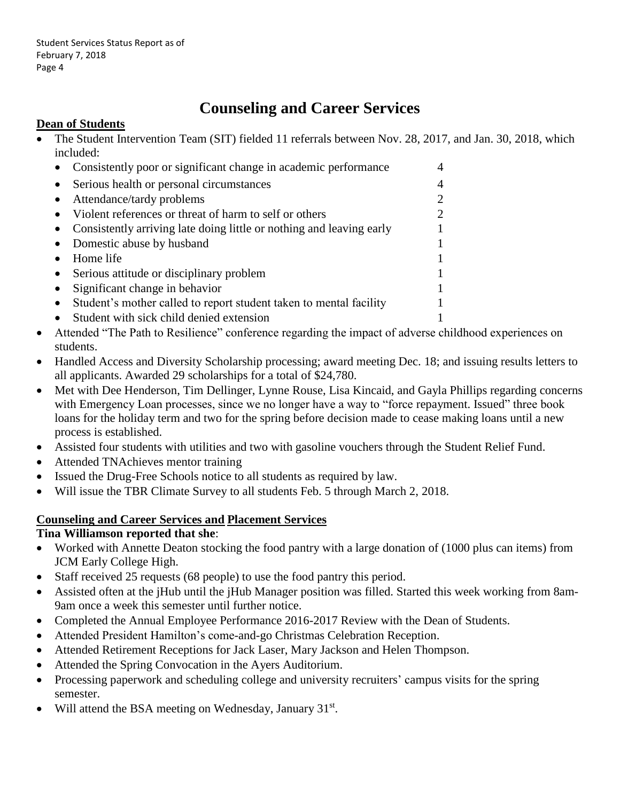# **Counseling and Career Services**

### **Dean of Students**

 The Student Intervention Team (SIT) fielded 11 referrals between Nov. 28, 2017, and Jan. 30, 2018, which included:

|           | Consistently poor or significant change in academic performance      | 4                           |  |
|-----------|----------------------------------------------------------------------|-----------------------------|--|
|           | Serious health or personal circumstances                             | $\overline{4}$              |  |
|           | Attendance/tardy problems                                            | $\mathcal{D}_{\mathcal{L}}$ |  |
|           | Violent references or threat of harm to self or others               | $\overline{c}$              |  |
|           | Consistently arriving late doing little or nothing and leaving early |                             |  |
|           | Domestic abuse by husband                                            |                             |  |
|           | Home life                                                            |                             |  |
|           | Serious attitude or disciplinary problem                             |                             |  |
|           | Significant change in behavior                                       |                             |  |
| $\bullet$ | Student's mother called to report student taken to mental facility   |                             |  |
|           | Student with sick child denied extension                             |                             |  |

- Attended "The Path to Resilience" conference regarding the impact of adverse childhood experiences on students.
- Handled Access and Diversity Scholarship processing; award meeting Dec. 18; and issuing results letters to all applicants. Awarded 29 scholarships for a total of \$24,780.
- Met with Dee Henderson, Tim Dellinger, Lynne Rouse, Lisa Kincaid, and Gayla Phillips regarding concerns with Emergency Loan processes, since we no longer have a way to "force repayment. Issued" three book loans for the holiday term and two for the spring before decision made to cease making loans until a new process is established.
- Assisted four students with utilities and two with gasoline vouchers through the Student Relief Fund.
- Attended TNAchieves mentor training
- Issued the Drug-Free Schools notice to all students as required by law.
- Will issue the TBR Climate Survey to all students Feb. 5 through March 2, 2018.

### **Counseling and Career Services and Placement Services**

#### **Tina Williamson reported that she**:

- Worked with Annette Deaton stocking the food pantry with a large donation of (1000 plus can items) from JCM Early College High.
- Staff received 25 requests (68 people) to use the food pantry this period.
- Assisted often at the jHub until the jHub Manager position was filled. Started this week working from 8am-9am once a week this semester until further notice.
- Completed the Annual Employee Performance 2016-2017 Review with the Dean of Students.
- Attended President Hamilton's come-and-go Christmas Celebration Reception.
- Attended Retirement Receptions for Jack Laser, Mary Jackson and Helen Thompson.
- Attended the Spring Convocation in the Ayers Auditorium.
- Processing paperwork and scheduling college and university recruiters' campus visits for the spring semester.
- Will attend the BSA meeting on Wednesday, January 31st.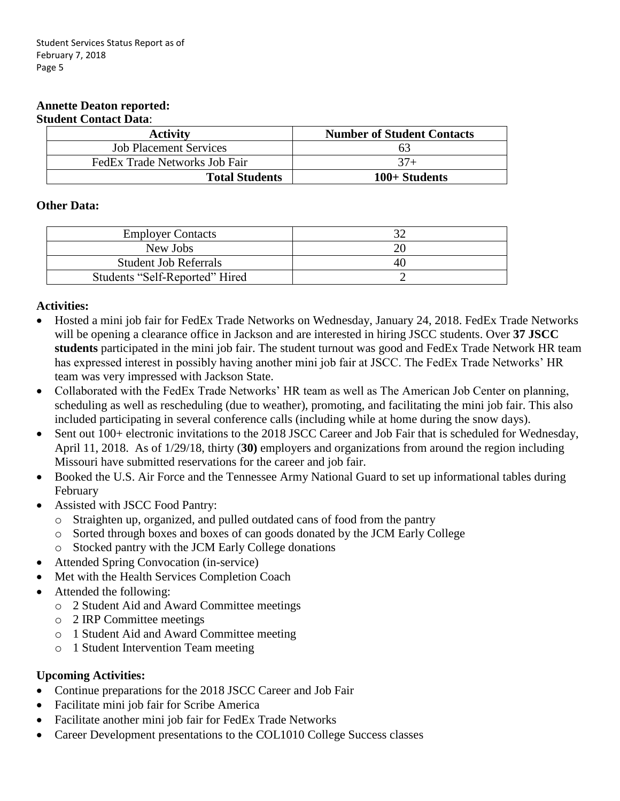#### **Annette Deaton reported: Student Contact Data**:

| <b>Activity</b>               | <b>Number of Student Contacts</b> |
|-------------------------------|-----------------------------------|
| <b>Job Placement Services</b> | O3                                |
| FedEx Trade Networks Job Fair | $37+$                             |
| <b>Total Students</b>         | 100+ Students                     |

#### **Other Data:**

| <b>Employer Contacts</b>       |    |
|--------------------------------|----|
| New Jobs                       |    |
| <b>Student Job Referrals</b>   | 40 |
| Students "Self-Reported" Hired |    |

### **Activities:**

- Hosted a mini job fair for FedEx Trade Networks on Wednesday, January 24, 2018. FedEx Trade Networks will be opening a clearance office in Jackson and are interested in hiring JSCC students. Over **37 JSCC students** participated in the mini job fair. The student turnout was good and FedEx Trade Network HR team has expressed interest in possibly having another mini job fair at JSCC. The FedEx Trade Networks' HR team was very impressed with Jackson State.
- Collaborated with the FedEx Trade Networks' HR team as well as The American Job Center on planning, scheduling as well as rescheduling (due to weather), promoting, and facilitating the mini job fair. This also included participating in several conference calls (including while at home during the snow days).
- Sent out 100+ electronic invitations to the 2018 JSCC Career and Job Fair that is scheduled for Wednesday, April 11, 2018. As of 1/29/18, thirty (**30)** employers and organizations from around the region including Missouri have submitted reservations for the career and job fair.
- Booked the U.S. Air Force and the Tennessee Army National Guard to set up informational tables during February
- Assisted with JSCC Food Pantry:
	- o Straighten up, organized, and pulled outdated cans of food from the pantry
	- o Sorted through boxes and boxes of can goods donated by the JCM Early College
	- o Stocked pantry with the JCM Early College donations
- Attended Spring Convocation (in-service)
- Met with the Health Services Completion Coach
- Attended the following:
	- o 2 Student Aid and Award Committee meetings
	- o 2 IRP Committee meetings
	- o 1 Student Aid and Award Committee meeting
	- o 1 Student Intervention Team meeting

### **Upcoming Activities:**

- Continue preparations for the 2018 JSCC Career and Job Fair
- Facilitate mini job fair for Scribe America
- Facilitate another mini job fair for FedEx Trade Networks
- Career Development presentations to the COL1010 College Success classes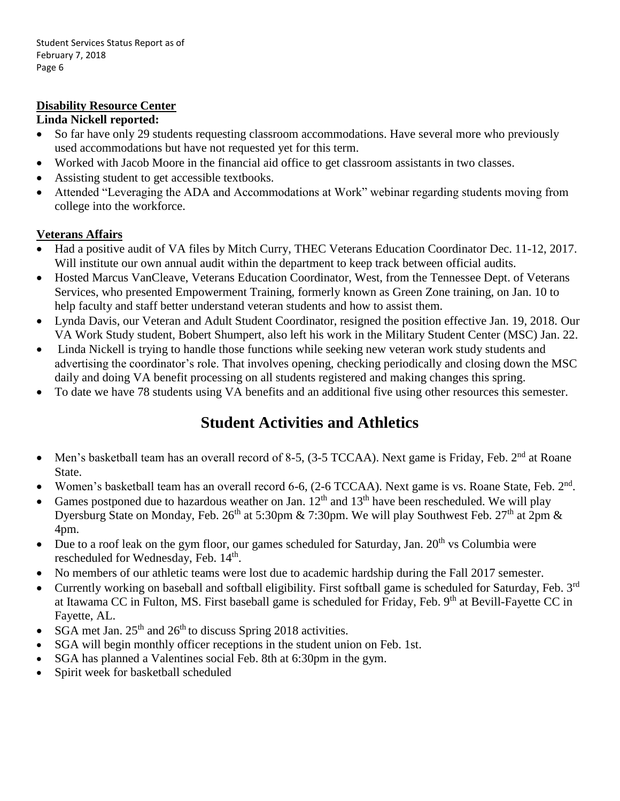### **Disability Resource Center**

#### **Linda Nickell reported:**

- So far have only 29 students requesting classroom accommodations. Have several more who previously used accommodations but have not requested yet for this term.
- Worked with Jacob Moore in the financial aid office to get classroom assistants in two classes.
- Assisting student to get accessible textbooks.
- Attended "Leveraging the ADA and Accommodations at Work" webinar regarding students moving from college into the workforce.

### **Veterans Affairs**

- Had a positive audit of VA files by Mitch Curry, THEC Veterans Education Coordinator Dec. 11-12, 2017. Will institute our own annual audit within the department to keep track between official audits.
- Hosted Marcus VanCleave, Veterans Education Coordinator, West, from the Tennessee Dept. of Veterans Services, who presented Empowerment Training, formerly known as Green Zone training, on Jan. 10 to help faculty and staff better understand veteran students and how to assist them.
- Lynda Davis, our Veteran and Adult Student Coordinator, resigned the position effective Jan. 19, 2018. Our VA Work Study student, Bobert Shumpert, also left his work in the Military Student Center (MSC) Jan. 22.
- Linda Nickell is trying to handle those functions while seeking new veteran work study students and advertising the coordinator's role. That involves opening, checking periodically and closing down the MSC daily and doing VA benefit processing on all students registered and making changes this spring.
- To date we have 78 students using VA benefits and an additional five using other resources this semester.

## **Student Activities and Athletics**

- Men's basketball team has an overall record of 8-5, (3-5 TCCAA). Next game is Friday, Feb. 2<sup>nd</sup> at Roane State.
- Women's basketball team has an overall record 6-6,  $(2-6 \text{ TCCAA})$ . Next game is vs. Roane State, Feb.  $2^{\text{nd}}$ .
- Games postponed due to hazardous weather on Jan.  $12<sup>th</sup>$  and  $13<sup>th</sup>$  have been rescheduled. We will play Dyersburg State on Monday, Feb.  $26<sup>th</sup>$  at 5:30pm & 7:30pm. We will play Southwest Feb.  $27<sup>th</sup>$  at  $2pm$  & 4pm.
- $\bullet$  Due to a roof leak on the gym floor, our games scheduled for Saturday, Jan. 20<sup>th</sup> vs Columbia were rescheduled for Wednesday, Feb. 14<sup>th</sup>.
- No members of our athletic teams were lost due to academic hardship during the Fall 2017 semester.
- Currently working on baseball and softball eligibility. First softball game is scheduled for Saturday, Feb.  $3<sup>rd</sup>$ at Itawama CC in Fulton, MS. First baseball game is scheduled for Friday, Feb. 9<sup>th</sup> at Bevill-Fayette CC in Fayette, AL.
- SGA met Jan.  $25<sup>th</sup>$  and  $26<sup>th</sup>$  to discuss Spring 2018 activities.
- SGA will begin monthly officer receptions in the student union on Feb. 1st.
- SGA has planned a Valentines social Feb. 8th at 6:30pm in the gym.
- Spirit week for basketball scheduled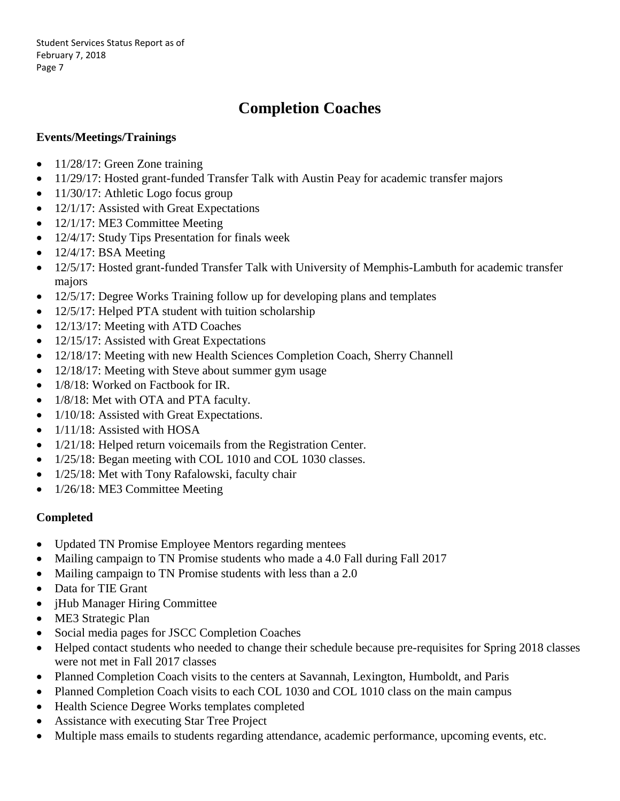# **Completion Coaches**

### **Events/Meetings/Trainings**

- $\bullet$  11/28/17: Green Zone training
- 11/29/17: Hosted grant-funded Transfer Talk with Austin Peay for academic transfer majors
- $\bullet$  11/30/17: Athletic Logo focus group
- 12/1/17: Assisted with Great Expectations
- 12/1/17: ME3 Committee Meeting
- 12/4/17: Study Tips Presentation for finals week
- $\bullet$  12/4/17: BSA Meeting
- 12/5/17: Hosted grant-funded Transfer Talk with University of Memphis-Lambuth for academic transfer majors
- 12/5/17: Degree Works Training follow up for developing plans and templates
- 12/5/17: Helped PTA student with tuition scholarship
- 12/13/17: Meeting with ATD Coaches
- 12/15/17: Assisted with Great Expectations
- 12/18/17: Meeting with new Health Sciences Completion Coach, Sherry Channell
- 12/18/17: Meeting with Steve about summer gym usage
- 1/8/18: Worked on Factbook for IR.
- 1/8/18: Met with OTA and PTA faculty.
- 1/10/18: Assisted with Great Expectations.
- $\bullet$  1/11/18: Assisted with HOSA
- 1/21/18: Helped return voicemails from the Registration Center.
- 1/25/18: Began meeting with COL 1010 and COL 1030 classes.
- 1/25/18: Met with Tony Rafalowski, faculty chair
- 1/26/18: ME3 Committee Meeting

#### **Completed**

- Updated TN Promise Employee Mentors regarding mentees
- Mailing campaign to TN Promise students who made a 4.0 Fall during Fall 2017
- Mailing campaign to TN Promise students with less than a 2.0
- Data for TIE Grant
- *jHub Manager Hiring Committee*
- ME3 Strategic Plan
- Social media pages for JSCC Completion Coaches
- Helped contact students who needed to change their schedule because pre-requisites for Spring 2018 classes were not met in Fall 2017 classes
- Planned Completion Coach visits to the centers at Savannah, Lexington, Humboldt, and Paris
- Planned Completion Coach visits to each COL 1030 and COL 1010 class on the main campus
- Health Science Degree Works templates completed
- Assistance with executing Star Tree Project
- Multiple mass emails to students regarding attendance, academic performance, upcoming events, etc.